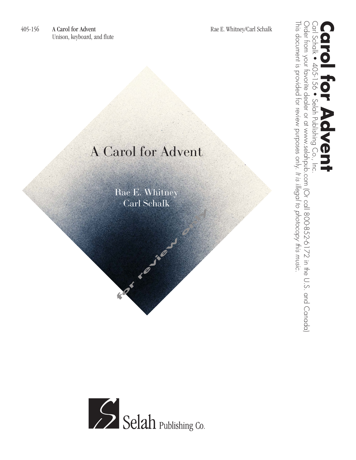## A Carol for Advent

Rae E. Whitney Carl Schalk **for review only**

This document is provided for review purposes only. Order from your favorite dealer or at www.selahpub.com (Or call 800-852-6172 in the U.S. and Canada) Order from your favorite dealer or at www.selahpub.com (Or call 800-852-6172 in the U.S. and Canada) Carl Schalk • 405-156 • Selah Publishing Co., Inc. **Carol for Advent** This document is provided for review purposes only. It is illegal to photocopy this music. Schalk • 405-156 Selah Publishing Co.  $\mathbf 0$  $\overline{\overline{5}}$ *It is illegal to photocopy this music.*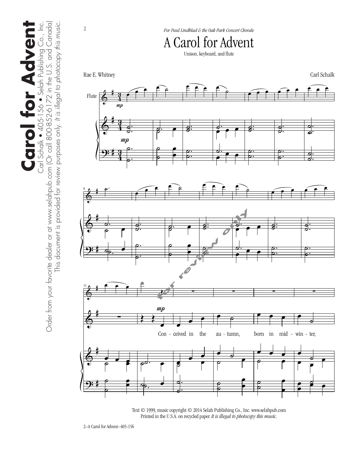

2

*For Paul Lindblad & the Oak Park Concert Chorale*

A Carol for Advent

Unison, keyboard, and flute



Text © 1999, music copyright © 2014 Selah Publishing Co., Inc. www.selahpub.com Printed in the U.S.A. on recycled paper. *It is illegal to photocopy this music.*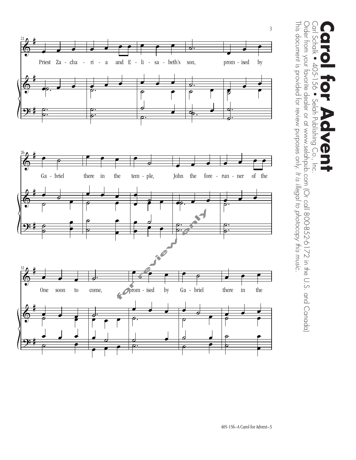

Order from your favorite dealer or at www.selahpub.com (Or call 800-852-6172 in the U.S. and Canada) This document is provided for review purposes only. It is illegal to photocopy this music. This document is provided for review purposes only. Order from your favorite dealer or at www.selahpub.com (Or call 800-852-6172 in the U.S. and Canada) Carl Schalk • 405-156 • Selah Publishing Co., Inc.  $\sum_{i=1}^{n}$ **Carol for Advent** Schalk • 405-156 • Selah Publishing  $\bigodot$ Inc. *It is illegal to photocopy this music.*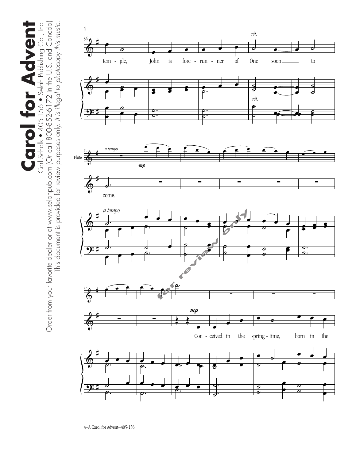**Carol for Advent Carol for Advent** Carl Schalk • 405-156 • Selah Publishing Co., Inc.

Carl Schalk • 405-156 • Selah Publishing Co., Inc.<br>Order from your favorite dealer or at www.selahpub.com (Or call 800-852-6172 in the U.S. and Canada) Order from your favorite dealer or at www.selahpub.com (Or call 800-852-6172 in the U.S. and Canada) This document is provided for review purposes only. It is illegal to photocopy this music. This document is provided for review purposes only. *It is illegal to photocopy this music.*

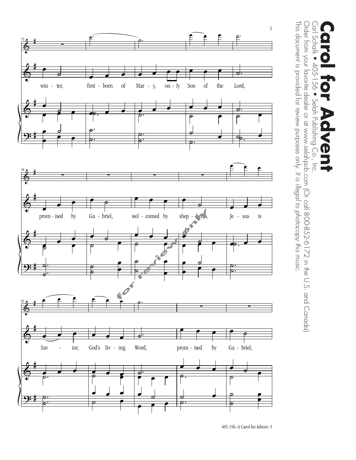

Order from your favorite dealer or at www.selahpub.com (Or call 800-852-6172 in the U.S. and Canada)  $\bigcirc$ This document is provided for review purposes only. It is illegal to photocopy this music. This document is provided for review purposes only. Order from your favorite dealer or at www.selahpub.com (Or call 800-852-6172 in the U.S. and Canada) Carl Schalk • 405-156 • Selah Publishing Co., Inc. **Carol for Advent** Schalk • 405-156 • Selah Publishing Co., Inc.  $\mathbf D$ *It is illegal to photocopy this music.*